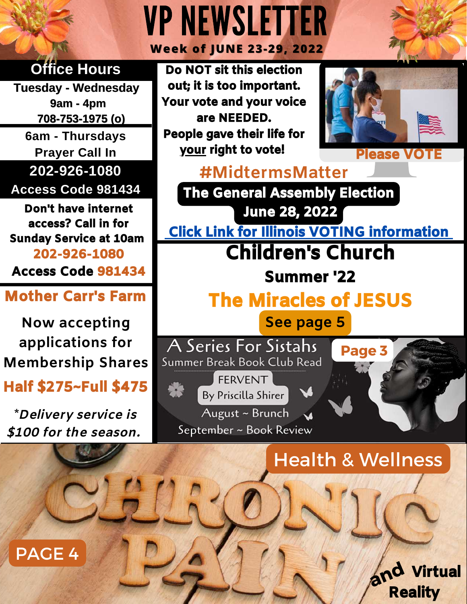#### VPNEWSLETTER **Week of JUNE 23-29, 2022 Office Hours** Do NOT sit this election out; it is too important. **Tuesday - Wednesday** Your vote and your voice **9am - 4pm 708-753-1975 (o)** are NEEDED. People gave their life for **6am - Thursdays** your right to vote! **Prayer Call In 202-926-1080 #MidtermsMatter** Access Code 981434 The General Assembly Election Don't have internet June 28, 2022 access? Call in for Click [Link for Illinois VOTING in](https://chicagoelections.gov/en/home.html)formation Sunday Service at 10am Children's Church 202-926-1080 Access Code 981434 Summer '22 Mother Carr's Farm The Miracles of JESUS **See page 5 Now accepting applications for** A Series For Sistahs  **Page 3 Membership Shares**

### Half \$275~Full \$475

**\***Delivery service is \$100 for the season.

PAGE 4

Summer Break Book Club Read **FFRVENT** By Priscilla Shirer August ~ Brunch September ~ Book Review

Health & Wellness

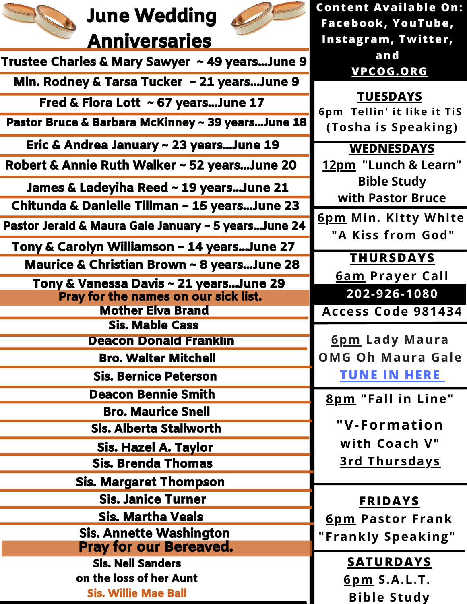### June Wedding **Anniversaries**

Trustee Charles & Mary Sawyer ~ 49 years...June 9



 **Content Available On: Facebook, YouTube, Instagram, Twitter,**

 **and** 

**[VPCOG.ORG](https://www.vpcog.org/)**

**6pm Tellin' it like it TiS TUESDAYS**

**(Tosha is Speaking)**

**WEDNESDAYS 12pm "Lunch & Learn"**

**Bible Study with Pastor Bruce**

**6pm Min. Kitty White "A Kiss from God"**

> **THURSDAYS 6am Prayer Call**

**202-926-1080**

**Access Code 981434**

**6pm Lady Maura OMG Oh Maura Gale [TUNE IN HERE](https://www.up2meradio.com/omg-oh-maura-gale-show/)**

**8pm "Fall in Line"** 

**"V-Formation with Coach V" 3rd Thursdays**

#### **FRIDAYS**

**6pm Pastor Frank "Frankly Speaking"** 

#### **SATURDAYS**

**6pm S.A.L.T. Bible Study**

| Min. Rodney & Tarsa Tucker ~ 21 yearsJune 9           |
|-------------------------------------------------------|
| Fred & Flora Lott ~ 67 yearsJune 17                   |
| Pastor Bruce & Barbara McKinney ~ 39 yearsJune 18     |
| Eric & Andrea January ~ 23 yearsJune 19               |
| Robert & Annie Ruth Walker ~ 52 yearsJune 20          |
| James & Ladeyiha Reed ~ 19 yearsJune 21               |
| Chitunda & Danielle Tillman ~ 15 yearsJune 23         |
| Pastor Jerald & Maura Gale January ~ 5 yearsJune 24   |
| Tony & Carolyn Williamson ~ 14 yearsJune 27           |
| <b>Maurice &amp; Christian Brown ~ 8 yearsJune 28</b> |
| Tony & Vanessa Davis ~ 21 yearsJune 29                |
| Pray for the names on our sick list.                  |
| <b>Mother Elva Brand</b>                              |
| <b>Sis. Mable Cass</b>                                |
| <b>Deacon Donald Franklin</b>                         |
| <b>Bro. Walter Mitchell</b>                           |
| <b>Sis. Bernice Peterson</b>                          |
| <b>Deacon Bennie Smith</b>                            |
| <b>Bro. Maurice Snell</b>                             |
| <b>Sis. Alberta Stallworth</b>                        |
| <b>Sis. Hazel A. Taylor</b>                           |
| <b>Sis. Brenda Thomas</b>                             |
| <b>Sis. Margaret Thompson</b>                         |
| <b>Sis. Janice Turner</b>                             |
| <b>Sis. Martha Veals</b>                              |
| <b>Sis. Annette Washington</b>                        |
| <b>Pray for our Bereaved.</b>                         |
| <b>Sis. Nell Sanders</b>                              |
| on the loss of her Aunt                               |
| <b>Sis. Willie Mae Ball</b>                           |
|                                                       |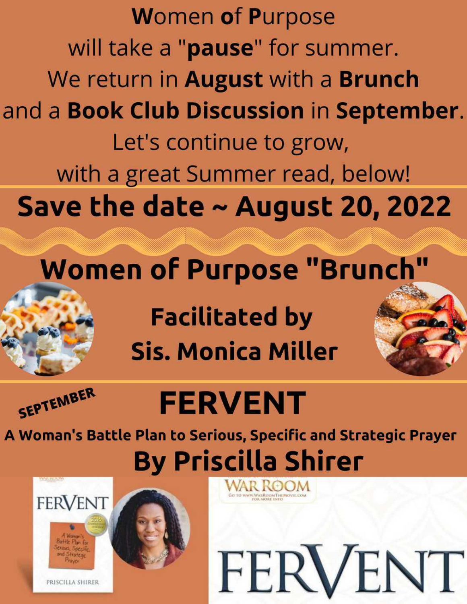**Women of Purpose** will take a "pause" for summer. We return in **August** with a **Brunch** and a Book Club Discussion in September. Let's continue to grow, with a great Summer read, below! Save the date  $\sim$  August 20, 2022

### **Women of Purpose "Brunch"**

**Facilitated by Sis. Monica Miller** 



## **FERVENT**

A Woman's Battle Plan to Serious, Specific and Strategic Prayer **By Priscilla Shirer** 

FERVENT



PRISCILLA SHIRER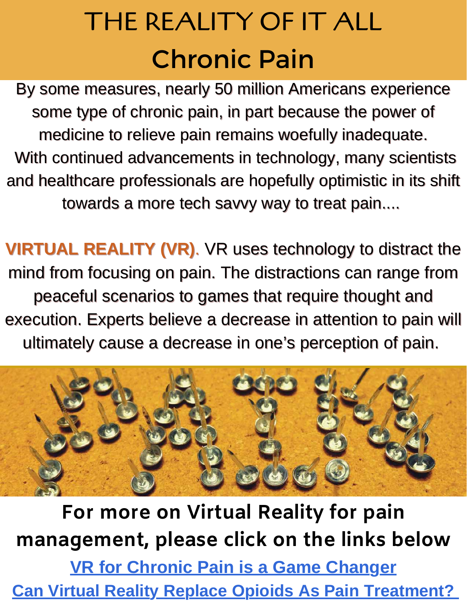### THE REALITY OF IT ALL Chronic Pain

By some measures, nearly 50 million Americans experience some type of chronic pain, in part because the power of medicine to relieve pain remains woefully inadequate. With continued advancements in technology, many scientists and healthcare professionals are hopefully optimistic in its shift towards a more tech savvy way to treat pain....

**VIRTUAL REALITY (VR)**. VR uses technology to distract the mind from focusing on pain. The distractions can range from peaceful scenarios to games that require thought and execution. Experts believe a decrease in attention to pain will ultimately cause a decrease in one's perception of pain.



**For more on Virtual Reality for pain management, please click on the links below [VR for Chronic Pain is a Game Changer](https://m.youtube.com/watch?v=gOIfvdFt3Mg) [Can Virtual Reality Replace Opioids As Pain Treatment?](https://m.youtube.com/watch?v=O0yRL4AOZII)**